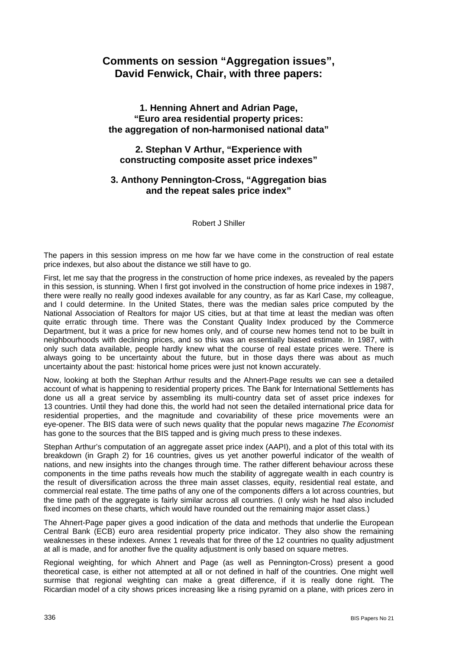# **Comments on session "Aggregation issues", David Fenwick, Chair, with three papers:**

## **1. Henning Ahnert and Adrian Page, "Euro area residential property prices: the aggregation of non-harmonised national data"**

### **2. Stephan V Arthur, "Experience with constructing composite asset price indexes"**

### **3. Anthony Pennington-Cross, "Aggregation bias and the repeat sales price index"**

Robert J Shiller

The papers in this session impress on me how far we have come in the construction of real estate price indexes, but also about the distance we still have to go.

First, let me say that the progress in the construction of home price indexes, as revealed by the papers in this session, is stunning. When I first got involved in the construction of home price indexes in 1987, there were really no really good indexes available for any country, as far as Karl Case, my colleague, and I could determine. In the United States, there was the median sales price computed by the National Association of Realtors for major US cities, but at that time at least the median was often quite erratic through time. There was the Constant Quality Index produced by the Commerce Department, but it was a price for new homes only, and of course new homes tend not to be built in neighbourhoods with declining prices, and so this was an essentially biased estimate. In 1987, with only such data available, people hardly knew what the course of real estate prices were. There is always going to be uncertainty about the future, but in those days there was about as much uncertainty about the past: historical home prices were just not known accurately.

Now, looking at both the Stephan Arthur results and the Ahnert-Page results we can see a detailed account of what is happening to residential property prices. The Bank for International Settlements has done us all a great service by assembling its multi-country data set of asset price indexes for 13 countries. Until they had done this, the world had not seen the detailed international price data for residential properties, and the magnitude and covariability of these price movements were an eye-opener. The BIS data were of such news quality that the popular news magazine *The Economist* has gone to the sources that the BIS tapped and is giving much press to these indexes.

Stephan Arthur's computation of an aggregate asset price index (AAPI), and a plot of this total with its breakdown (in Graph 2) for 16 countries, gives us yet another powerful indicator of the wealth of nations, and new insights into the changes through time. The rather different behaviour across these components in the time paths reveals how much the stability of aggregate wealth in each country is the result of diversification across the three main asset classes, equity, residential real estate, and commercial real estate. The time paths of any one of the components differs a lot across countries, but the time path of the aggregate is fairly similar across all countries. (I only wish he had also included fixed incomes on these charts, which would have rounded out the remaining major asset class.)

The Ahnert-Page paper gives a good indication of the data and methods that underlie the European Central Bank (ECB) euro area residential property price indicator. They also show the remaining weaknesses in these indexes. Annex 1 reveals that for three of the 12 countries no quality adjustment at all is made, and for another five the quality adjustment is only based on square metres.

Regional weighting, for which Ahnert and Page (as well as Pennington-Cross) present a good theoretical case, is either not attempted at all or not defined in half of the countries. One might well surmise that regional weighting can make a great difference, if it is really done right. The Ricardian model of a city shows prices increasing like a rising pyramid on a plane, with prices zero in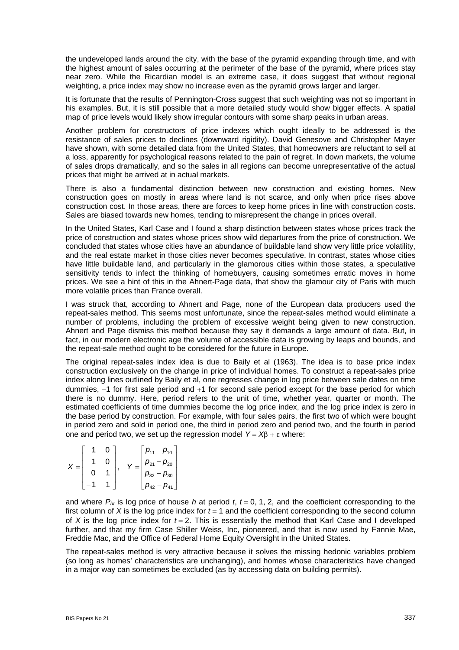the undeveloped lands around the city, with the base of the pyramid expanding through time, and with the highest amount of sales occurring at the perimeter of the base of the pyramid, where prices stay near zero. While the Ricardian model is an extreme case, it does suggest that without regional weighting, a price index may show no increase even as the pyramid grows larger and larger.

It is fortunate that the results of Pennington-Cross suggest that such weighting was not so important in his examples. But, it is still possible that a more detailed study would show bigger effects. A spatial map of price levels would likely show irregular contours with some sharp peaks in urban areas.

Another problem for constructors of price indexes which ought ideally to be addressed is the resistance of sales prices to declines (downward rigidity). David Genesove and Christopher Mayer have shown, with some detailed data from the United States, that homeowners are reluctant to sell at a loss, apparently for psychological reasons related to the pain of regret. In down markets, the volume of sales drops dramatically, and so the sales in all regions can become unrepresentative of the actual prices that might be arrived at in actual markets.

There is also a fundamental distinction between new construction and existing homes. New construction goes on mostly in areas where land is not scarce, and only when price rises above construction cost. In those areas, there are forces to keep home prices in line with construction costs. Sales are biased towards new homes, tending to misrepresent the change in prices overall.

In the United States, Karl Case and I found a sharp distinction between states whose prices track the price of construction and states whose prices show wild departures from the price of construction. We concluded that states whose cities have an abundance of buildable land show very little price volatility, and the real estate market in those cities never becomes speculative. In contrast, states whose cities have little buildable land, and particularly in the glamorous cities within those states, a speculative sensitivity tends to infect the thinking of homebuyers, causing sometimes erratic moves in home prices. We see a hint of this in the Ahnert-Page data, that show the glamour city of Paris with much more volatile prices than France overall.

I was struck that, according to Ahnert and Page, none of the European data producers used the repeat-sales method. This seems most unfortunate, since the repeat-sales method would eliminate a number of problems, including the problem of excessive weight being given to new construction. Ahnert and Page dismiss this method because they say it demands a large amount of data. But, in fact, in our modern electronic age the volume of accessible data is growing by leaps and bounds, and the repeat-sale method ought to be considered for the future in Europe.

The original repeat-sales index idea is due to Baily et al (1963). The idea is to base price index construction exclusively on the change in price of individual homes. To construct a repeat-sales price index along lines outlined by Baily et al, one regresses change in log price between sale dates on time dummies, −1 for first sale period and +1 for second sale period except for the base period for which there is no dummy. Here, period refers to the unit of time, whether year, quarter or month. The estimated coefficients of time dummies become the log price index, and the log price index is zero in the base period by construction. For example, with four sales pairs, the first two of which were bought in period zero and sold in period one, the third in period zero and period two, and the fourth in period one and period two, we set up the regression model  $Y = XB + \varepsilon$  where:

|  | $\Omega$ |  | $\lambda$ | $p_{11} - p_{10}$                                                                                 |  |
|--|----------|--|-----------|---------------------------------------------------------------------------------------------------|--|
|  |          |  |           |                                                                                                   |  |
|  |          |  |           | $\begin{vmatrix} \bm{\rho}_{21} - \bm{\rho}_{20} \ \bm{\rho}_{32} - \bm{\rho}_{30} \end{vmatrix}$ |  |
|  |          |  |           | $- p_{41}$<br>$p_{42}^{} -$                                                                       |  |

and where  $P_{ht}$  is log price of house *h* at period *t*,  $t = 0, 1, 2$ , and the coefficient corresponding to the first column of  $X$  is the log price index for  $t = 1$  and the coefficient corresponding to the second column of *X* is the log price index for  $t = 2$ . This is essentially the method that Karl Case and I developed further, and that my firm Case Shiller Weiss, Inc, pioneered, and that is now used by Fannie Mae, Freddie Mac, and the Office of Federal Home Equity Oversight in the United States.

The repeat-sales method is very attractive because it solves the missing hedonic variables problem (so long as homes' characteristics are unchanging), and homes whose characteristics have changed in a major way can sometimes be excluded (as by accessing data on building permits).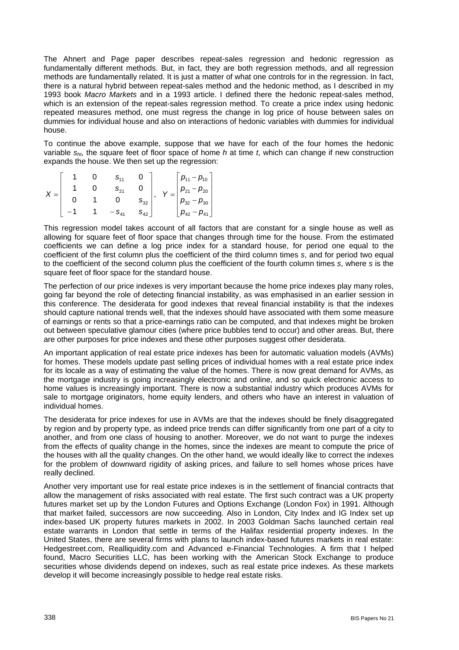The Ahnert and Page paper describes repeat-sales regression and hedonic regression as fundamentally different methods. But, in fact, they are both regression methods, and all regression methods are fundamentally related. It is just a matter of what one controls for in the regression. In fact, there is a natural hybrid between repeat-sales method and the hedonic method, as I described in my 1993 book *Macro Markets* and in a 1993 article. I defined there the hedonic repeat-sales method, which is an extension of the repeat-sales regression method. To create a price index using hedonic repeated measures method, one must regress the change in log price of house between sales on dummies for individual house and also on interactions of hedonic variables with dummies for individual house.

To continue the above example, suppose that we have for each of the four homes the hedonic variable *sht*, the square feet of floor space of home *h* at time *t*, which can change if new construction expands the house. We then set up the regression:

|  |  | $S_{11}$  |                     |         | $p_{11} - p_{10}$                                                  |
|--|--|-----------|---------------------|---------|--------------------------------------------------------------------|
|  |  | $S_{21}$  |                     | $V = 1$ |                                                                    |
|  |  |           | $\mathbf{e}$<br>ບາາ |         | $\begin{vmatrix} p_{21} - p_{20} \\ p_{32} - p_{30} \end{vmatrix}$ |
|  |  | $-S_{41}$ | $S_{A2}$            |         | $p_{42} - p_{41}$                                                  |

This regression model takes account of all factors that are constant for a single house as well as allowing for square feet of floor space that changes through time for the house. From the estimated coefficients we can define a log price index for a standard house, for period one equal to the coefficient of the first column plus the coefficient of the third column times *s*, and for period two equal to the coefficient of the second column plus the coefficient of the fourth column times *s*, where *s* is the square feet of floor space for the standard house.

The perfection of our price indexes is very important because the home price indexes play many roles, going far beyond the role of detecting financial instability, as was emphasised in an earlier session in this conference. The desiderata for good indexes that reveal financial instability is that the indexes should capture national trends well, that the indexes should have associated with them some measure of earnings or rents so that a price-earnings ratio can be computed, and that indexes might be broken out between speculative glamour cities (where price bubbles tend to occur) and other areas. But, there are other purposes for price indexes and these other purposes suggest other desiderata.

An important application of real estate price indexes has been for automatic valuation models (AVMs) for homes. These models update past selling prices of individual homes with a real estate price index for its locale as a way of estimating the value of the homes. There is now great demand for AVMs, as the mortgage industry is going increasingly electronic and online, and so quick electronic access to home values is increasingly important. There is now a substantial industry which produces AVMs for sale to mortgage originators, home equity lenders, and others who have an interest in valuation of individual homes.

The desiderata for price indexes for use in AVMs are that the indexes should be finely disaggregated by region and by property type, as indeed price trends can differ significantly from one part of a city to another, and from one class of housing to another. Moreover, we do not want to purge the indexes from the effects of quality change in the homes, since the indexes are meant to compute the price of the houses with all the quality changes. On the other hand, we would ideally like to correct the indexes for the problem of downward rigidity of asking prices, and failure to sell homes whose prices have really declined.

Another very important use for real estate price indexes is in the settlement of financial contracts that allow the management of risks associated with real estate. The first such contract was a UK property futures market set up by the London Futures and Options Exchange (London Fox) in 1991. Although that market failed, successors are now succeeding. Also in London, City Index and IG Index set up index-based UK property futures markets in 2002. In 2003 Goldman Sachs launched certain real estate warrants in London that settle in terms of the Halifax residential property indexes. In the United States, there are several firms with plans to launch index-based futures markets in real estate: Hedgestreet.com, Realliquidity.com and Advanced e-Financial Technologies. A firm that I helped found, Macro Securities LLC, has been working with the American Stock Exchange to produce securities whose dividends depend on indexes, such as real estate price indexes. As these markets develop it will become increasingly possible to hedge real estate risks.